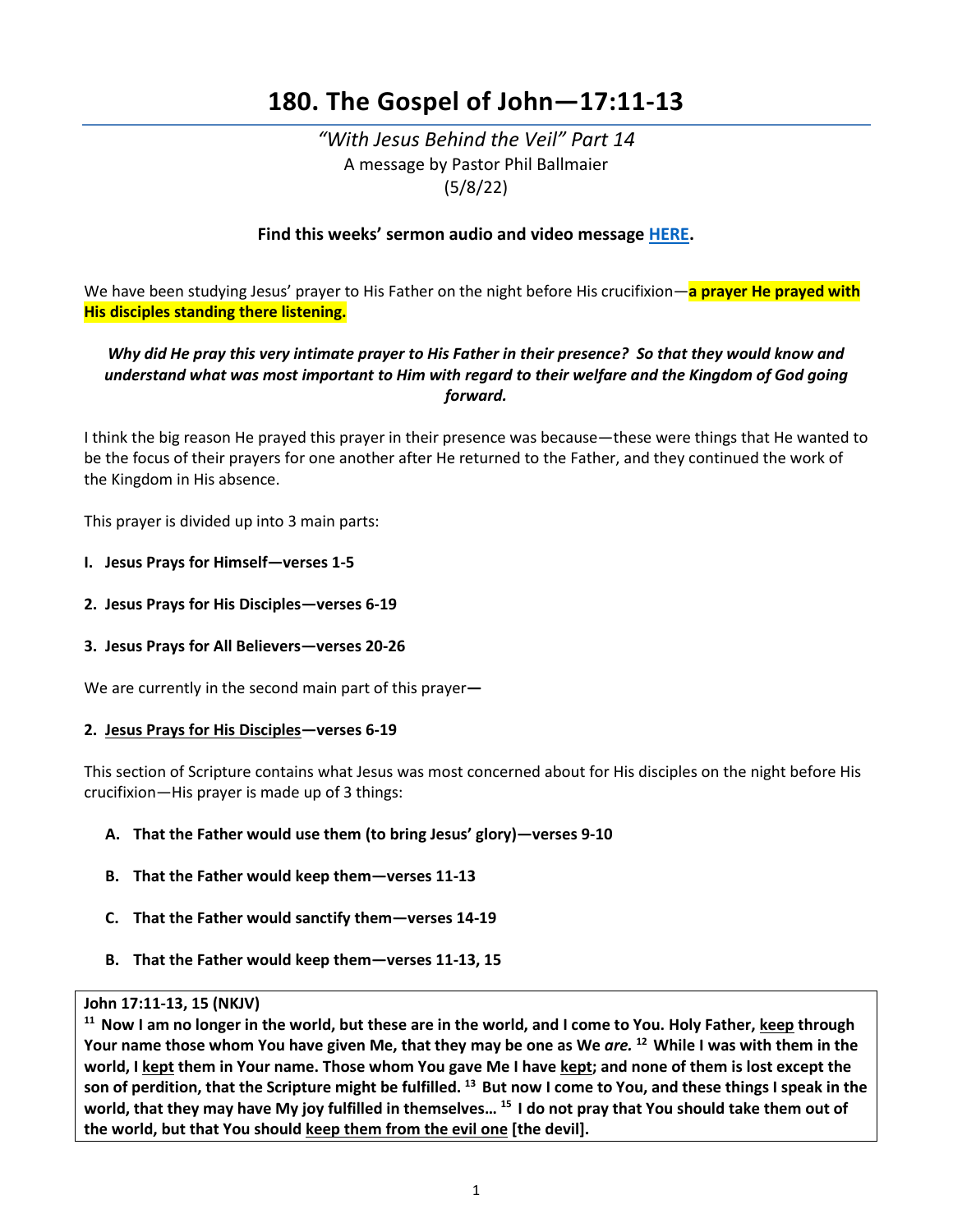# **180. The Gospel of John—17:11-13**

*"With Jesus Behind the Veil" Part 14*  A message by Pastor Phil Ballmaier (5/8/22)

# **Find this weeks' sermon audio and video message [HERE.](http://www.ccelkgrove.org/sunday-archives)**

We have been studying Jesus' prayer to His Father on the night before His crucifixion—**a prayer He prayed with His disciples standing there listening.**

# *Why did He pray this very intimate prayer to His Father in their presence? So that they would know and understand what was most important to Him with regard to their welfare and the Kingdom of God going forward.*

I think the big reason He prayed this prayer in their presence was because—these were things that He wanted to be the focus of their prayers for one another after He returned to the Father, and they continued the work of the Kingdom in His absence.

This prayer is divided up into 3 main parts:

- **I. Jesus Prays for Himself—verses 1-5**
- **2. Jesus Prays for His Disciples—verses 6-19**
- **3. Jesus Prays for All Believers—verses 20-26**

We are currently in the second main part of this prayer**—**

#### **2. Jesus Prays for His Disciples—verses 6-19**

This section of Scripture contains what Jesus was most concerned about for His disciples on the night before His crucifixion—His prayer is made up of 3 things:

- **A. That the Father would use them (to bring Jesus' glory)—verses 9-10**
- **B. That the Father would keep them—verses 11-13**
- **C. That the Father would sanctify them—verses 14-19**
- **B. That the Father would keep them—verses 11-13, 15**

John 17:11-13, 15 (NKJV)<br><sup>11</sup> Now I am no longer in the world, but these are in the world, and I come to You. Holy Father, <u>keep</u> through **Your name those whom You have given Me, that they may be one as We** *are.* **12 While I was with them in the**  world, I kept them in Your name. Those whom You gave Me I have kept; and none of them is lost except the **son of perdition, that the Scripture might be fulfilled. 13 But now I come to You, and these things I speak in the world, that they may have My joy fulfilled in themselves… 15 I do not pray that You should take them out of the world, but that You should keep them from the evil one [the devil].**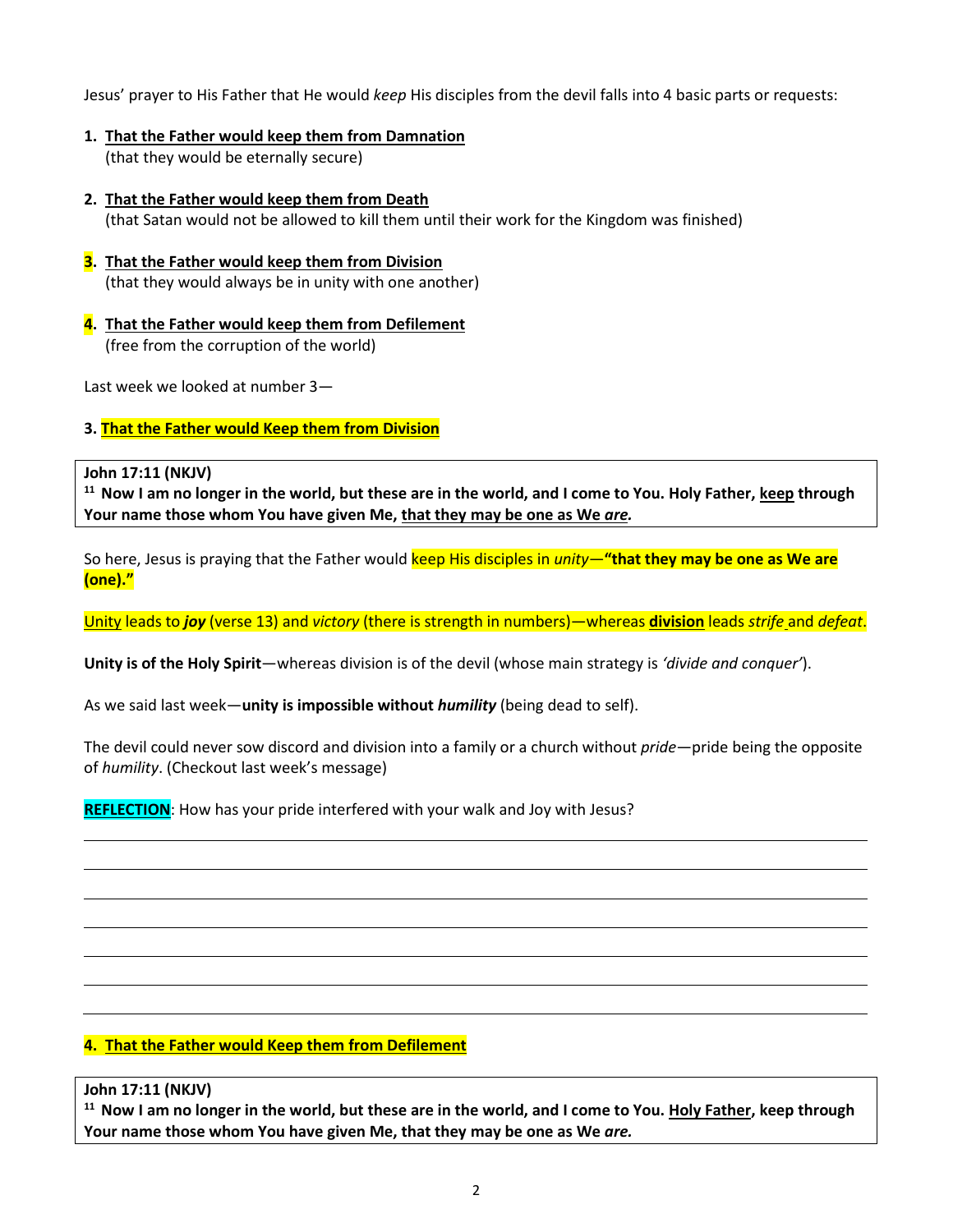Jesus' prayer to His Father that He would *keep* His disciples from the devil falls into 4 basic parts or requests:

- **1. That the Father would keep them from Damnation** (that they would be eternally secure)
- **2. That the Father would keep them from Death** (that Satan would not be allowed to kill them until their work for the Kingdom was finished)
- **3. That the Father would keep them from Division** (that they would always be in unity with one another)
- **4. That the Father would keep them from Defilement** (free from the corruption of the world)

Last week we looked at number 3—

# **3. That the Father would Keep them from Division**

#### **John 17:11 (NKJV)**

**11 Now I am no longer in the world, but these are in the world, and I come to You. Holy Father, keep through Your name those whom You have given Me, that they may be one as We** *are.*

So here, Jesus is praying that the Father would keep His disciples in *unity*—**"that they may be one as We are (one)."**

Unity leads to *joy* (verse 13) and *victory* (there is strength in numbers)—whereas **division** leads *strife* and *defeat*.

**Unity is of the Holy Spirit**—whereas division is of the devil (whose main strategy is *'divide and conquer'*).

As we said last week—**unity is impossible without** *humility* (being dead to self).

The devil could never sow discord and division into a family or a church without *pride*—pride being the opposite of *humility*. (Checkout last week's message)

**REFLECTION**: How has your pride interfered with your walk and Joy with Jesus?

# **4. That the Father would Keep them from Defilement**

#### **John 17:11 (NKJV)**

**11 Now I am no longer in the world, but these are in the world, and I come to You. Holy Father, keep through Your name those whom You have given Me, that they may be one as We** *are.*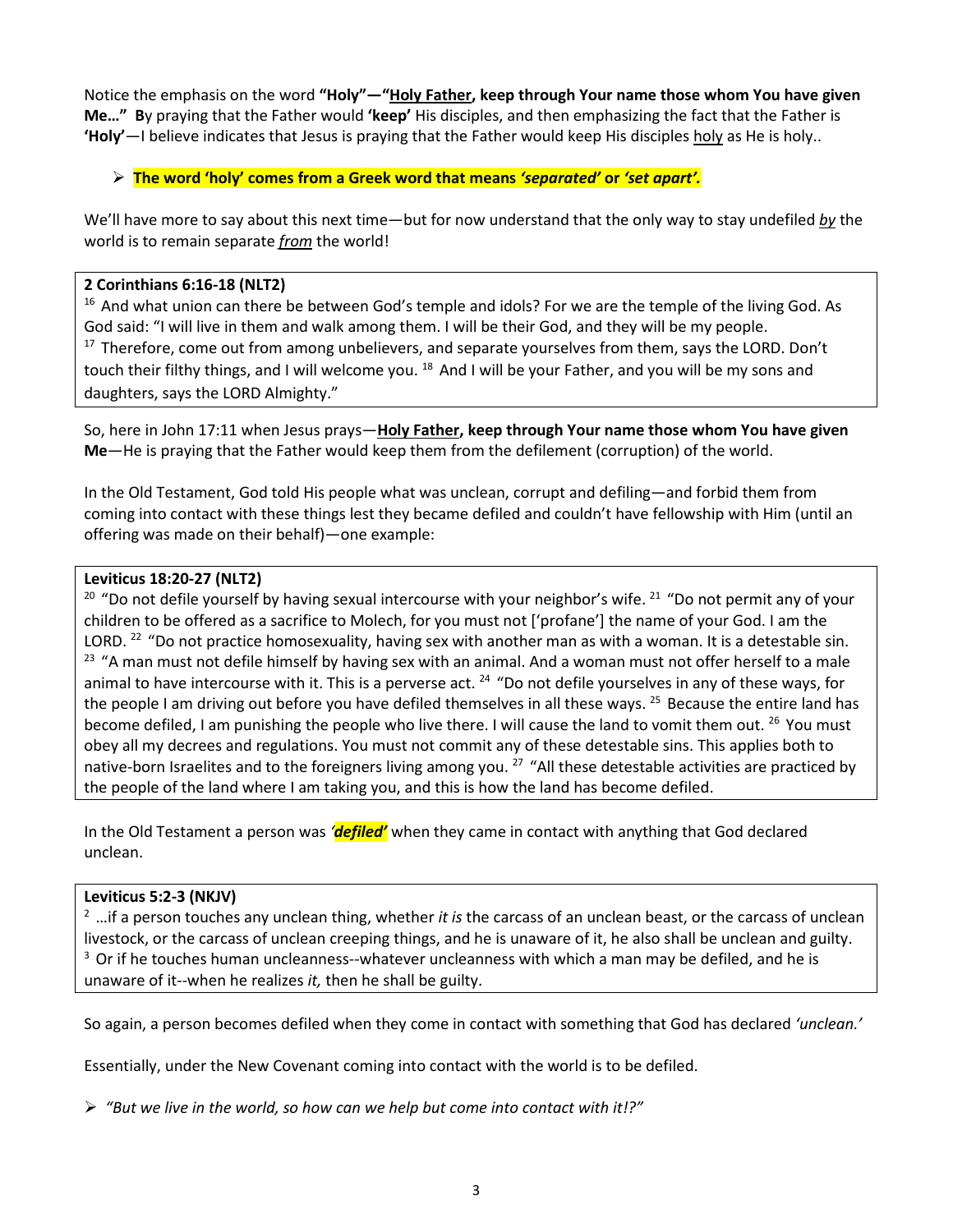Notice the emphasis on the word **"Holy"—"Holy Father, keep through Your name those whom You have given Me…" B**y praying that the Father would **'keep'** His disciples, and then emphasizing the fact that the Father is **'Holy'**—I believe indicates that Jesus is praying that the Father would keep His disciples holy as He is holy..

# **The word 'holy' comes from a Greek word that means** *'separated'* **or** *'set apart'.*

We'll have more to say about this next time—but for now understand that the only way to stay undefiled *by* the world is to remain separate *from* the world!

# **2 Corinthians 6:16-18 (NLT2)**

<sup>16</sup> And what union can there be between God's temple and idols? For we are the temple of the living God. As God said: "I will live in them and walk among them. I will be their God, and they will be my people. <sup>17</sup> Therefore, come out from among unbelievers, and separate yourselves from them, says the LORD. Don't touch their filthy things, and I will welcome you. <sup>18</sup> And I will be your Father, and you will be my sons and daughters, says the LORD Almighty."

So, here in John 17:11 when Jesus prays—**Holy Father, keep through Your name those whom You have given Me**—He is praying that the Father would keep them from the defilement (corruption) of the world.

In the Old Testament, God told His people what was unclean, corrupt and defiling—and forbid them from coming into contact with these things lest they became defiled and couldn't have fellowship with Him (until an offering was made on their behalf)—one example:

# **Leviticus 18:20-27 (NLT2)**

<sup>20</sup> "Do not defile yourself by having sexual intercourse with your neighbor's wife. <sup>21</sup> "Do not permit any of your children to be offered as a sacrifice to Molech, for you must not ['profane'] the name of your God. I am the LORD. <sup>22</sup> "Do not practice homosexuality, having sex with another man as with a woman. It is a detestable sin. <sup>23</sup> "A man must not defile himself by having sex with an animal. And a woman must not offer herself to a male animal to have intercourse with it. This is a perverse act.  $24$  "Do not defile yourselves in any of these ways, for the people I am driving out before you have defiled themselves in all these ways. <sup>25</sup> Because the entire land has become defiled, I am punishing the people who live there. I will cause the land to vomit them out. <sup>26</sup> You must obey all my decrees and regulations. You must not commit any of these detestable sins. This applies both to native-born Israelites and to the foreigners living among you.<sup>27</sup> "All these detestable activities are practiced by the people of the land where I am taking you, and this is how the land has become defiled.

In the Old Testament a person was *'defiled'* when they came in contact with anything that God declared unclean.

# **Leviticus 5:2-3 (NKJV)**

2 …if a person touches any unclean thing, whether *it is* the carcass of an unclean beast, or the carcass of unclean livestock, or the carcass of unclean creeping things, and he is unaware of it, he also shall be unclean and guilty.  $3$  Or if he touches human uncleanness--whatever uncleanness with which a man may be defiled, and he is unaware of it--when he realizes *it,* then he shall be guilty.

So again, a person becomes defiled when they come in contact with something that God has declared *'unclean.'*

Essentially, under the New Covenant coming into contact with the world is to be defiled.

*"But we live in the world, so how can we help but come into contact with it!?"*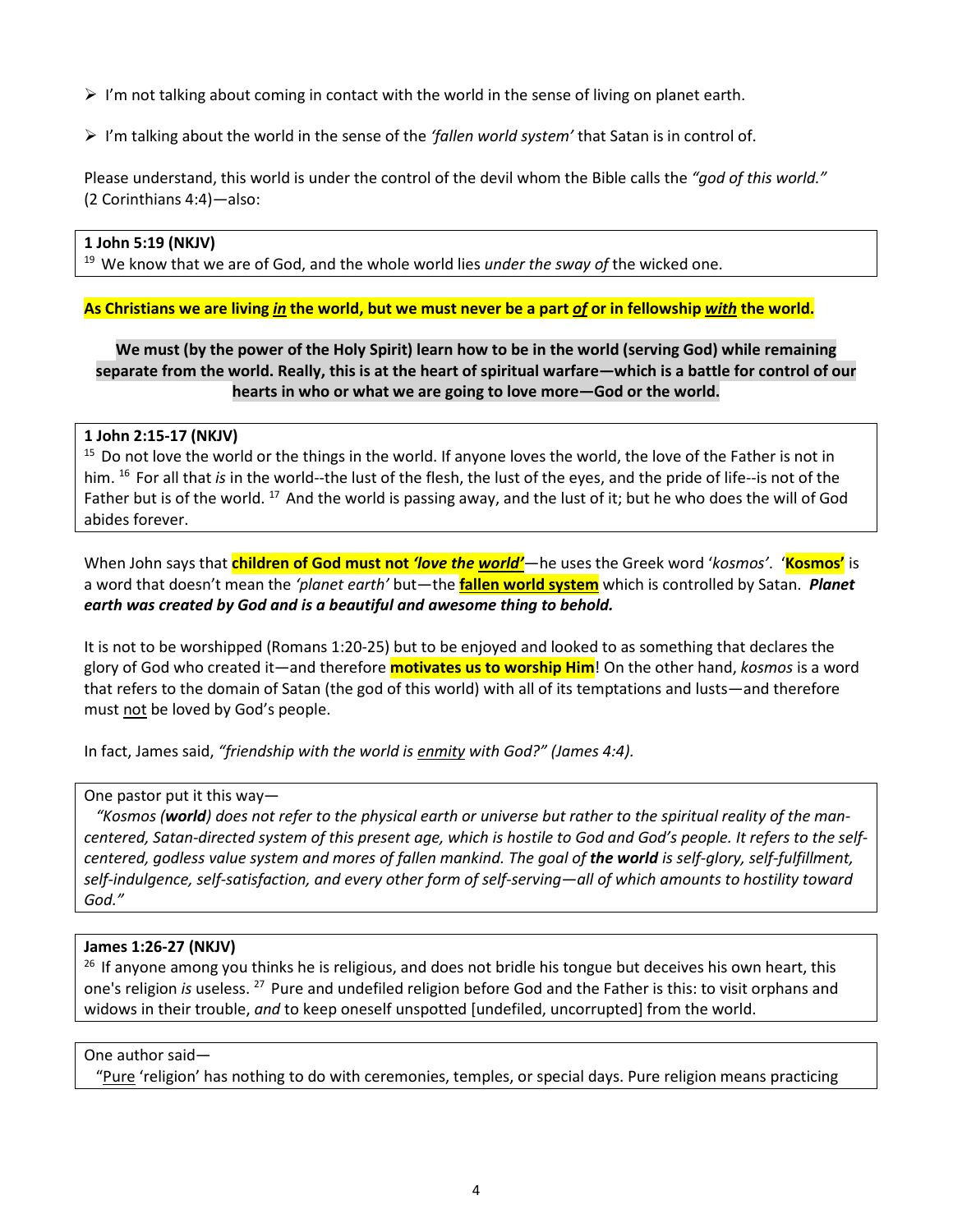- $\triangleright$  I'm not talking about coming in contact with the world in the sense of living on planet earth.
- I'm talking about the world in the sense of the *'fallen world system'* that Satan is in control of.

Please understand, this world is under the control of the devil whom the Bible calls the *"god of this world."* (2 Corinthians 4:4)*—*also:

#### **1 John 5:19 (NKJV)**

19 We know that we are of God, and the whole world lies *under the sway of* the wicked one.

#### **As Christians we are living** *in* **the world, but we must never be a part** *of* **or in fellowship** *with* **the world.**

# **We must (by the power of the Holy Spirit) learn how to be in the world (serving God) while remaining separate from the world. Really, this is at the heart of spiritual warfare—which is a battle for control of our hearts in who or what we are going to love more—God or the world.**

#### **1 John 2:15-17 (NKJV)**

<sup>15</sup> Do not love the world or the things in the world. If anyone loves the world, the love of the Father is not in him. 16 For all that *is* in the world--the lust of the flesh, the lust of the eyes, and the pride of life--is not of the Father but is of the world.  $^{17}$  And the world is passing away, and the lust of it; but he who does the will of God abides forever.

When John says that **children of God must not** *'love the world'*—he uses the Greek word '*kosmos'*. '**Kosmos'** is a word that doesn't mean the *'planet earth'* but—the **fallen world system** which is controlled by Satan. *Planet earth was created by God and is a beautiful and awesome thing to behold.*

It is not to be worshipped (Romans 1:20-25) but to be enjoyed and looked to as something that declares the glory of God who created it—and therefore **motivates us to worship Him**! On the other hand, *kosmos* is a word that refers to the domain of Satan (the god of this world) with all of its temptations and lusts—and therefore must not be loved by God's people.

In fact, James said, *"friendship with the world is enmity with God?" (James 4:4).*

One pastor put it this way—

 *"Kosmos (world) does not refer to the physical earth or universe but rather to the spiritual reality of the mancentered, Satan-directed system of this present age, which is hostile to God and God's people. It refers to the selfcentered, godless value system and mores of fallen mankind. The goal of the world is self-glory, self-fulfillment, self-indulgence, self-satisfaction, and every other form of self-serving—all of which amounts to hostility toward God."*

# **James 1:26-27 (NKJV)**

<sup>26</sup> If anyone among you thinks he is religious, and does not bridle his tongue but deceives his own heart, this one's religion *is* useless. 27 Pure and undefiled religion before God and the Father is this: to visit orphans and widows in their trouble, *and* to keep oneself unspotted [undefiled, uncorrupted] from the world.

#### One author said—

"Pure 'religion' has nothing to do with ceremonies, temples, or special days. Pure religion means practicing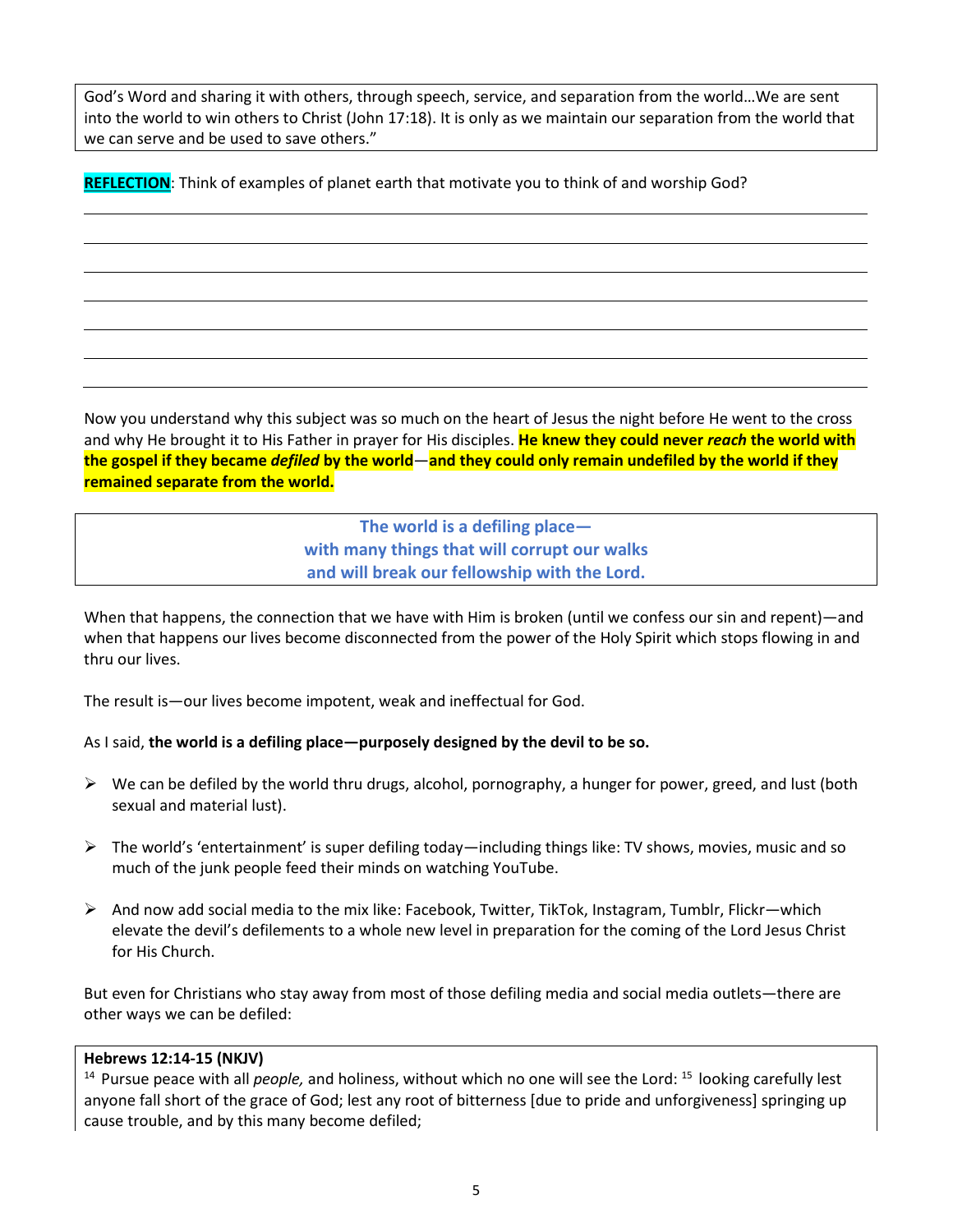God's Word and sharing it with others, through speech, service, and separation from the world…We are sent into the world to win others to Christ (John 17:18). It is only as we maintain our separation from the world that we can serve and be used to save others."

**REFLECTION**: Think of examples of planet earth that motivate you to think of and worship God?

Now you understand why this subject was so much on the heart of Jesus the night before He went to the cross and why He brought it to His Father in prayer for His disciples. **He knew they could never** *reach* **the world with the gospel if they became** *defiled* **by the world**—**and they could only remain undefiled by the world if they remained separate from the world.**

> **The world is a defiling place with many things that will corrupt our walks and will break our fellowship with the Lord.**

When that happens, the connection that we have with Him is broken (until we confess our sin and repent)—and when that happens our lives become disconnected from the power of the Holy Spirit which stops flowing in and thru our lives.

The result is—our lives become impotent, weak and ineffectual for God.

# As I said, **the world is a defiling place—purposely designed by the devil to be so.**

- $\triangleright$  We can be defiled by the world thru drugs, alcohol, pornography, a hunger for power, greed, and lust (both sexual and material lust).
- $\triangleright$  The world's 'entertainment' is super defiling today—including things like: TV shows, movies, music and so much of the junk people feed their minds on watching YouTube.
- $\triangleright$  And now add social media to the mix like: Facebook, Twitter, TikTok, Instagram, Tumblr, Flickr—which elevate the devil's defilements to a whole new level in preparation for the coming of the Lord Jesus Christ for His Church.

But even for Christians who stay away from most of those defiling media and social media outlets—there are other ways we can be defiled:

#### **Hebrews 12:14-15 (NKJV)**

<sup>14</sup> Pursue peace with all *people*, and holiness, without which no one will see the Lord: <sup>15</sup> looking carefully lest anyone fall short of the grace of God; lest any root of bitterness [due to pride and unforgiveness] springing up cause trouble, and by this many become defiled;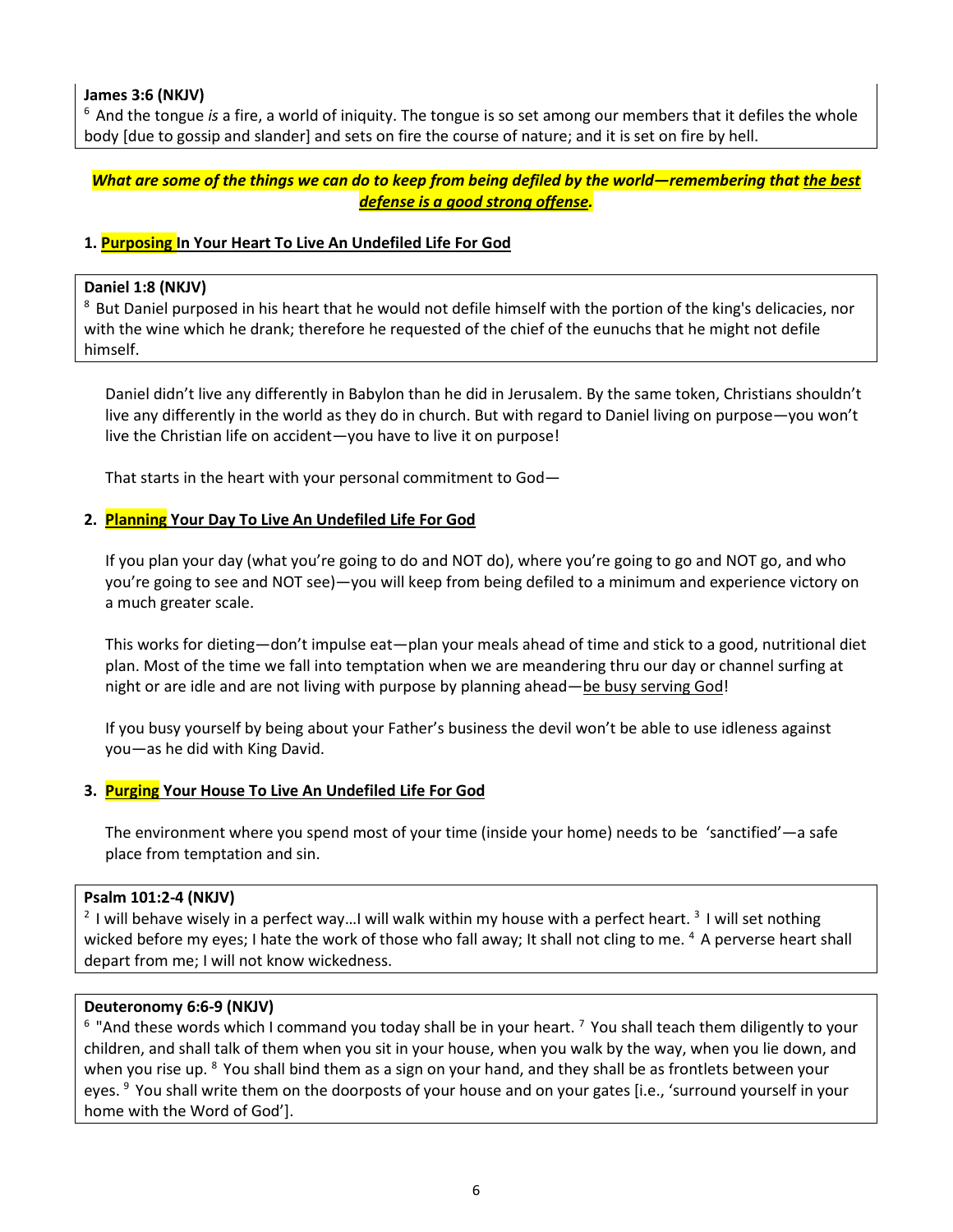# **James 3:6 (NKJV)**

6 And the tongue *is* a fire, a world of iniquity. The tongue is so set among our members that it defiles the whole body [due to gossip and slander] and sets on fire the course of nature; and it is set on fire by hell.

# *What are some of the things we can do to keep from being defiled by the world—remembering that the best defense is a good strong offense.*

# **1. Purposing In Your Heart To Live An Undefiled Life For God**

#### **Daniel 1:8 (NKJV)**

<sup>8</sup> But Daniel purposed in his heart that he would not defile himself with the portion of the king's delicacies, nor with the wine which he drank; therefore he requested of the chief of the eunuchs that he might not defile himself.

Daniel didn't live any differently in Babylon than he did in Jerusalem. By the same token, Christians shouldn't live any differently in the world as they do in church. But with regard to Daniel living on purpose—you won't live the Christian life on accident—you have to live it on purpose!

That starts in the heart with your personal commitment to God—

# **2. Planning Your Day To Live An Undefiled Life For God**

If you plan your day (what you're going to do and NOT do), where you're going to go and NOT go, and who you're going to see and NOT see)—you will keep from being defiled to a minimum and experience victory on a much greater scale.

This works for dieting—don't impulse eat—plan your meals ahead of time and stick to a good, nutritional diet plan. Most of the time we fall into temptation when we are meandering thru our day or channel surfing at night or are idle and are not living with purpose by planning ahead—be busy serving God!

If you busy yourself by being about your Father's business the devil won't be able to use idleness against you—as he did with King David.

# **3. Purging Your House To Live An Undefiled Life For God**

The environment where you spend most of your time (inside your home) needs to be 'sanctified'—a safe place from temptation and sin.

# **Psalm 101:2-4 (NKJV)**

<sup>2</sup> I will behave wisely in a perfect way...I will walk within my house with a perfect heart. <sup>3</sup> I will set nothing wicked before my eyes; I hate the work of those who fall away; It shall not cling to me. 4 A perverse heart shall depart from me; I will not know wickedness.

#### **Deuteronomy 6:6-9 (NKJV)**

 $6$  "And these words which I command you today shall be in your heart.  $7$  You shall teach them diligently to your children, and shall talk of them when you sit in your house, when you walk by the way, when you lie down, and when you rise up. <sup>8</sup> You shall bind them as a sign on your hand, and they shall be as frontlets between your eyes. <sup>9</sup> You shall write them on the doorposts of your house and on your gates [i.e., 'surround yourself in your home with the Word of God'].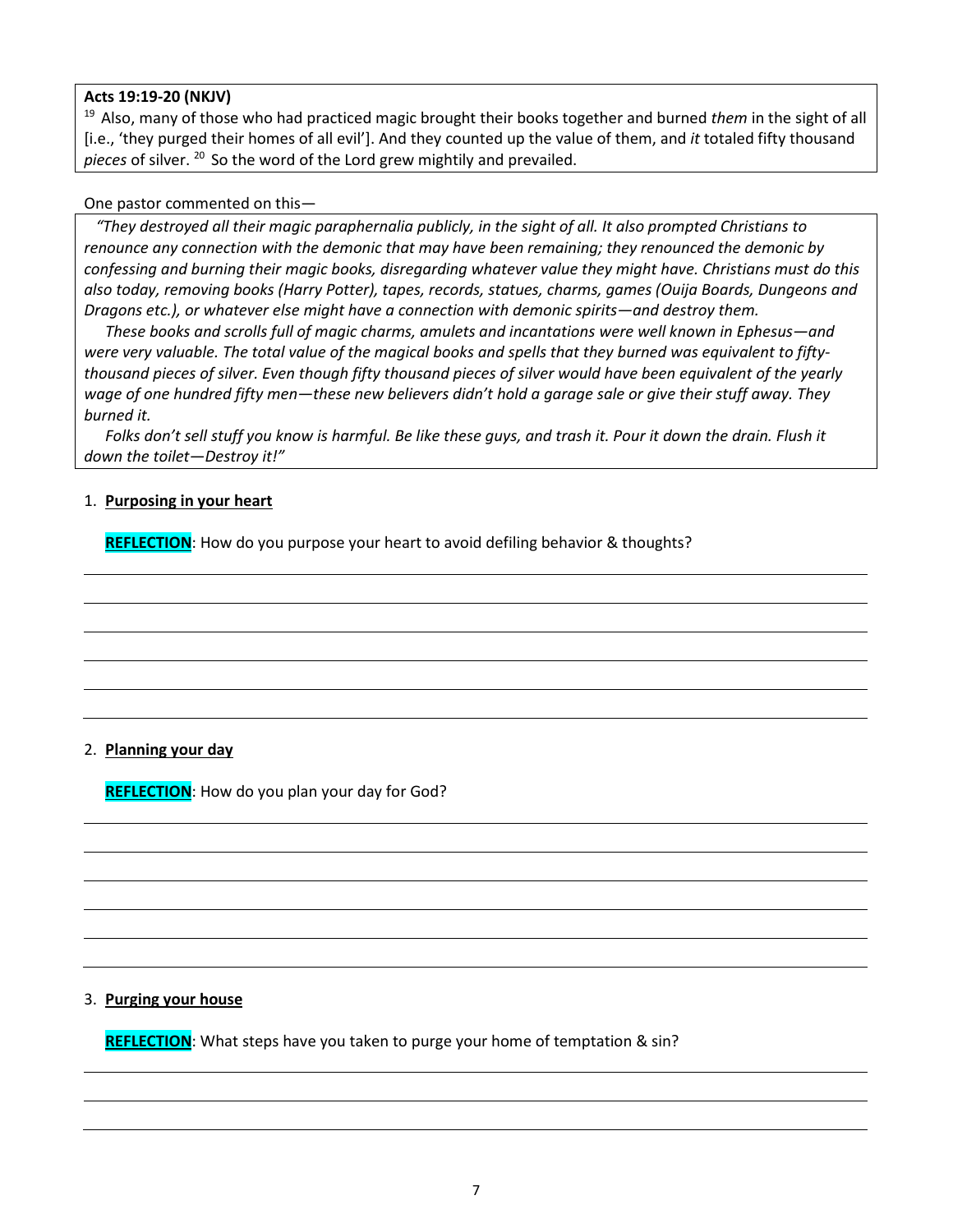# **Acts 19:19-20 (NKJV)**

19 Also, many of those who had practiced magic brought their books together and burned *them* in the sight of all [i.e., 'they purged their homes of all evil']. And they counted up the value of them, and *it* totaled fifty thousand *pieces* of silver. 20 So the word of the Lord grew mightily and prevailed.

#### One pastor commented on this—

 *"They destroyed all their magic paraphernalia publicly, in the sight of all. It also prompted Christians to renounce any connection with the demonic that may have been remaining; they renounced the demonic by confessing and burning their magic books, disregarding whatever value they might have. Christians must do this also today, removing books (Harry Potter), tapes, records, statues, charms, games (Ouija Boards, Dungeons and Dragons etc.), or whatever else might have a connection with demonic spirits—and destroy them.*

*These books and scrolls full of magic charms, amulets and incantations were well known in Ephesus—and were very valuable. The total value of the magical books and spells that they burned was equivalent to fiftythousand pieces of silver. Even though fifty thousand pieces of silver would have been equivalent of the yearly wage of one hundred fifty men—these new believers didn't hold a garage sale or give their stuff away. They burned it.* 

*Folks don't sell stuff you know is harmful. Be like these guys, and trash it. Pour it down the drain. Flush it down the toilet—Destroy it!"*

# 1. **Purposing in your heart**

REFLECTION: How do you purpose your heart to avoid defiling behavior & thoughts?

# 2. **Planning your day**

**REFLECTION**: How do you plan your day for God?

#### 3. **Purging your house**

**REFLECTION**: What steps have you taken to purge your home of temptation & sin?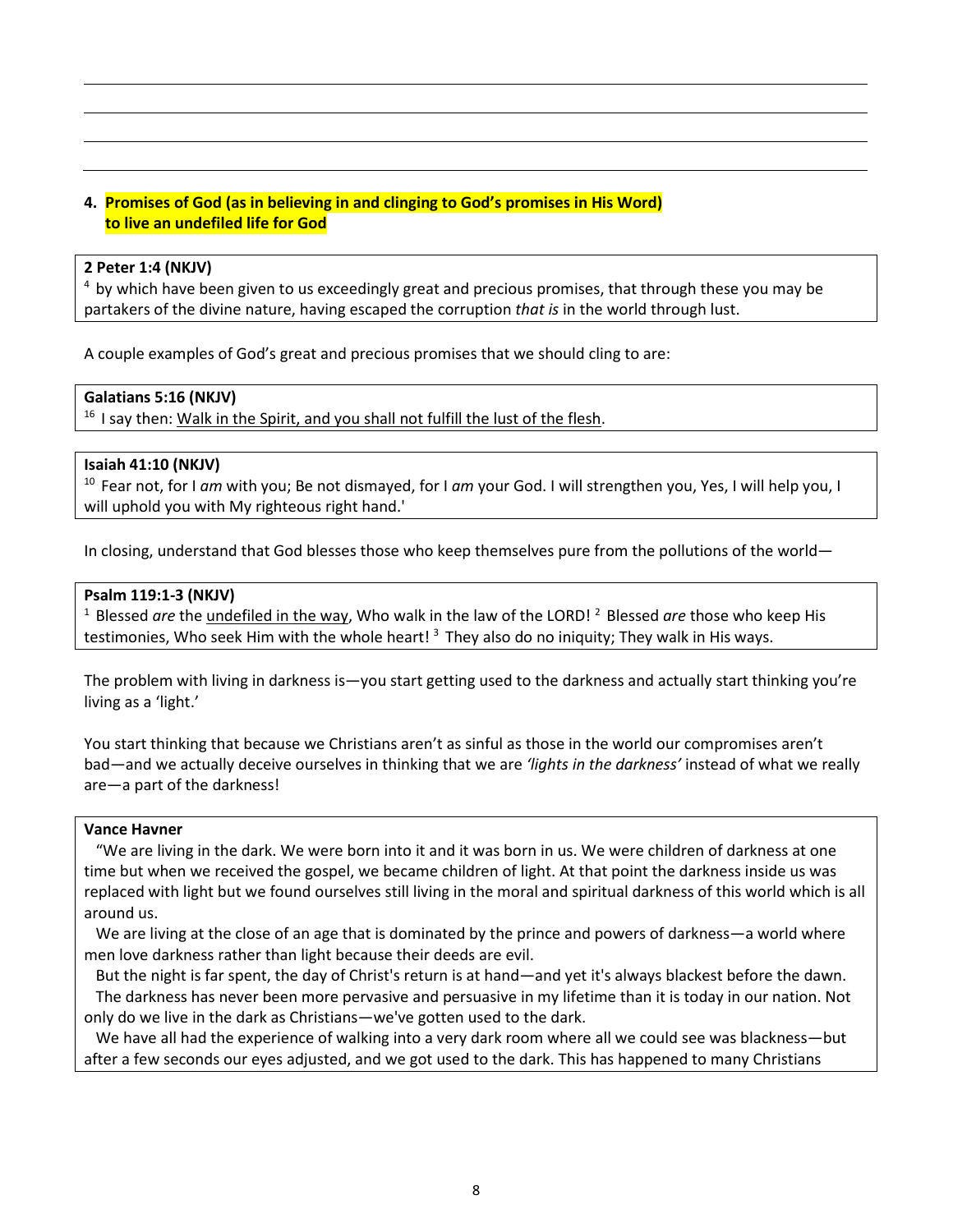# **4. Promises of God (as in believing in and clinging to God's promises in His Word) to live an undefiled life for God**

#### **2 Peter 1:4 (NKJV)**

<sup>4</sup> by which have been given to us exceedingly great and precious promises, that through these you may be partakers of the divine nature, having escaped the corruption *that is* in the world through lust.

A couple examples of God's great and precious promises that we should cling to are:

#### **Galatians 5:16 (NKJV)**

<sup>16</sup> I say then: Walk in the Spirit, and you shall not fulfill the lust of the flesh.

#### **Isaiah 41:10 (NKJV)**

10 Fear not, for I *am* with you; Be not dismayed, for I *am* your God. I will strengthen you, Yes, I will help you, I will uphold you with My righteous right hand.'

In closing, understand that God blesses those who keep themselves pure from the pollutions of the world—

#### **Psalm 119:1-3 (NKJV)**

<sup>1</sup> Blessed *are* the undefiled in the way, Who walk in the law of the LORD!<sup>2</sup> Blessed *are* those who keep His testimonies, Who seek Him with the whole heart!<sup>3</sup> They also do no iniquity; They walk in His ways.

The problem with living in darkness is—you start getting used to the darkness and actually start thinking you're living as a 'light.'

You start thinking that because we Christians aren't as sinful as those in the world our compromises aren't bad—and we actually deceive ourselves in thinking that we are *'lights in the darkness'* instead of what we really are—a part of the darkness!

#### **Vance Havner**

 "We are living in the dark. We were born into it and it was born in us. We were children of darkness at one time but when we received the gospel, we became children of light. At that point the darkness inside us was replaced with light but we found ourselves still living in the moral and spiritual darkness of this world which is all around us.

We are living at the close of an age that is dominated by the prince and powers of darkness—a world where men love darkness rather than light because their deeds are evil.

 But the night is far spent, the day of Christ's return is at hand—and yet it's always blackest before the dawn. The darkness has never been more pervasive and persuasive in my lifetime than it is today in our nation. Not only do we live in the dark as Christians—we've gotten used to the dark.

 We have all had the experience of walking into a very dark room where all we could see was blackness—but after a few seconds our eyes adjusted, and we got used to the dark. This has happened to many Christians